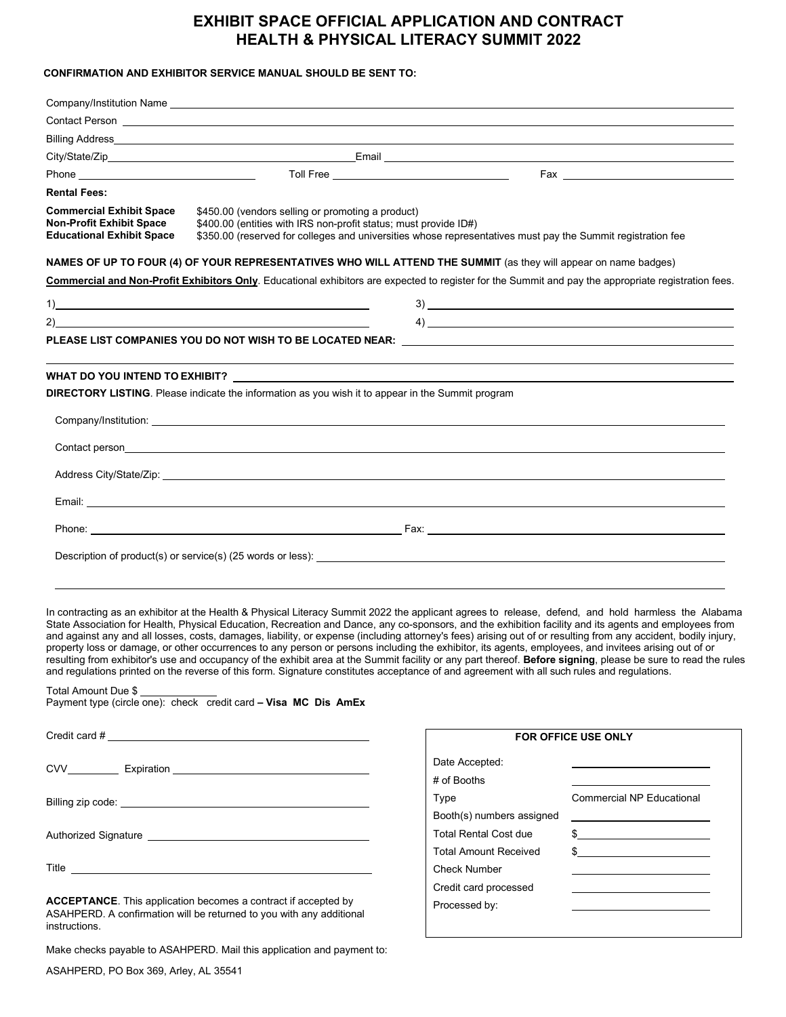# **EXHIBIT SPACE OFFICIAL APPLICATION AND CONTRACT HEALTH & PHYSICAL LITERACY SUMMIT 2022**

### **CONFIRMATION AND EXHIBITOR SERVICE MANUAL SHOULD BE SENT TO:**

| <b>Rental Fees:</b>                                                                                    |                                                                                                                                                                                                                                                                                                                                                                                      |                                                                                                                                                      |
|--------------------------------------------------------------------------------------------------------|--------------------------------------------------------------------------------------------------------------------------------------------------------------------------------------------------------------------------------------------------------------------------------------------------------------------------------------------------------------------------------------|------------------------------------------------------------------------------------------------------------------------------------------------------|
| <b>Commercial Exhibit Space</b><br><b>Non-Profit Exhibit Space</b><br><b>Educational Exhibit Space</b> | \$450.00 (vendors selling or promoting a product)<br>\$400.00 (entities with IRS non-profit status; must provide ID#)<br>\$350.00 (reserved for colleges and universities whose representatives must pay the Summit registration fee                                                                                                                                                 |                                                                                                                                                      |
|                                                                                                        |                                                                                                                                                                                                                                                                                                                                                                                      | NAMES OF UP TO FOUR (4) OF YOUR REPRESENTATIVES WHO WILL ATTEND THE SUMMIT (as they will appear on name badges)                                      |
|                                                                                                        |                                                                                                                                                                                                                                                                                                                                                                                      | Commercial and Non-Profit Exhibitors Only. Educational exhibitors are expected to register for the Summit and pay the appropriate registration fees. |
|                                                                                                        | $\overline{1}$ $\overline{1}$ $\overline{1}$ $\overline{1}$ $\overline{1}$ $\overline{1}$ $\overline{1}$ $\overline{1}$ $\overline{1}$ $\overline{1}$ $\overline{1}$ $\overline{1}$ $\overline{1}$ $\overline{1}$ $\overline{1}$ $\overline{1}$ $\overline{1}$ $\overline{1}$ $\overline{1}$ $\overline{1}$ $\overline{1}$ $\overline{1}$ $\overline{1}$ $\overline{1}$ $\overline{$ | $3)$ $\overline{\phantom{a}}$                                                                                                                        |
|                                                                                                        | 2)                                                                                                                                                                                                                                                                                                                                                                                   | $\left\langle \phi_1 \right\rangle$                                                                                                                  |
|                                                                                                        |                                                                                                                                                                                                                                                                                                                                                                                      |                                                                                                                                                      |
|                                                                                                        |                                                                                                                                                                                                                                                                                                                                                                                      |                                                                                                                                                      |
|                                                                                                        | <b>DIRECTORY LISTING</b> . Please indicate the information as you wish it to appear in the Summit program                                                                                                                                                                                                                                                                            |                                                                                                                                                      |
|                                                                                                        |                                                                                                                                                                                                                                                                                                                                                                                      |                                                                                                                                                      |
|                                                                                                        |                                                                                                                                                                                                                                                                                                                                                                                      |                                                                                                                                                      |
|                                                                                                        |                                                                                                                                                                                                                                                                                                                                                                                      |                                                                                                                                                      |
|                                                                                                        |                                                                                                                                                                                                                                                                                                                                                                                      |                                                                                                                                                      |
|                                                                                                        |                                                                                                                                                                                                                                                                                                                                                                                      |                                                                                                                                                      |
|                                                                                                        |                                                                                                                                                                                                                                                                                                                                                                                      |                                                                                                                                                      |
|                                                                                                        |                                                                                                                                                                                                                                                                                                                                                                                      |                                                                                                                                                      |

In contracting as an exhibitor at the Health & Physical Literacy Summit 2022 the applicant agrees to release, defend, and hold harmless the Alabama State Association for Health, Physical Education, Recreation and Dance, any co-sponsors, and the exhibition facility and its agents and employees from and against any and all losses, costs, damages, liability, or expense (including attorney's fees) arising out of or resulting from any accident, bodily injury, property loss or damage, or other occurrences to any person or persons including the exhibitor, its agents, employees, and invitees arising out of or resulting from exhibitor's use and occupancy of the exhibit area at the Summit facility or any part thereof. **Before signing**, please be sure to read the rules and regulations printed on the reverse of this form. Signature constitutes acceptance of and agreement with all such rules and regulations.

#### Total Amount Due \$ Payment type (circle one): check credit card **– Visa MC Dis AmEx**

| Title <u>superior and the second second second second second second second second second second second second second second second second second second second second second second second second second second second second se</u> |  |  |
|--------------------------------------------------------------------------------------------------------------------------------------------------------------------------------------------------------------------------------------|--|--|
| ACCEPTANCE This englisation becomes a contract if accepted by                                                                                                                                                                        |  |  |

**ACCEPTANCE**. This application becomes a contract if accepted by ASAHPERD. A confirmation will be returned to you with any additional instructions.

Make checks payable to ASAHPERD. Mail this application and payment to:

| <b>FOR OFFICE USE ONLY</b>   |                                  |  |  |
|------------------------------|----------------------------------|--|--|
| Date Accepted:               |                                  |  |  |
| # of Booths                  |                                  |  |  |
| Type                         | <b>Commercial NP Educational</b> |  |  |
| Booth(s) numbers assigned    |                                  |  |  |
| <b>Total Rental Cost due</b> | \$.                              |  |  |
| <b>Total Amount Received</b> | \$.                              |  |  |
| Check Number                 |                                  |  |  |
| Credit card processed        |                                  |  |  |
| Processed by:                |                                  |  |  |
|                              |                                  |  |  |

ASAHPERD, PO Box 369, Arley, AL 35541